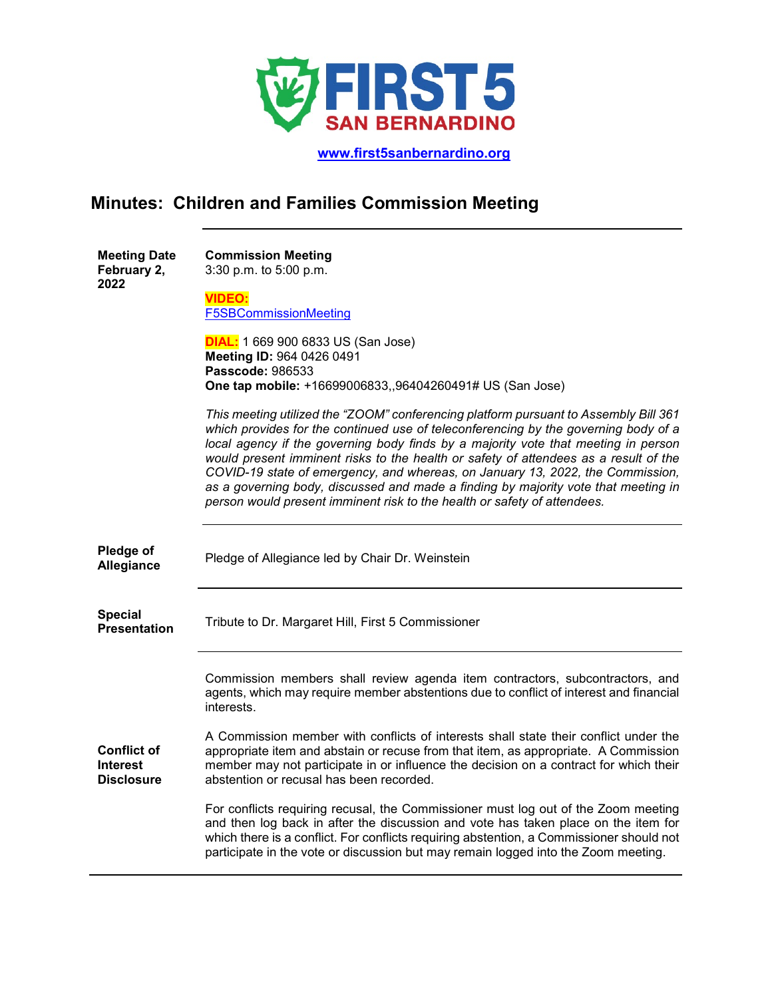

 **[www.first5sanbernardino.org](http://www.first5sanbernardino.org/)**

## **Minutes: Children and Families Commission Meeting**

| <b>Meeting Date</b><br>February 2,<br>2022                 | <b>Commission Meeting</b><br>3:30 p.m. to 5:00 p.m.                                                                                                                                                                                                                                                                                                                                                                                                                                                                                                                                                           |
|------------------------------------------------------------|---------------------------------------------------------------------------------------------------------------------------------------------------------------------------------------------------------------------------------------------------------------------------------------------------------------------------------------------------------------------------------------------------------------------------------------------------------------------------------------------------------------------------------------------------------------------------------------------------------------|
|                                                            | <b>VIDEO:</b><br><b>F5SBCommissionMeeting</b>                                                                                                                                                                                                                                                                                                                                                                                                                                                                                                                                                                 |
|                                                            | <b>DIAL:</b> 1 669 900 6833 US (San Jose)<br>Meeting ID: 964 0426 0491<br>Passcode: 986533<br>One tap mobile: +16699006833,,96404260491# US (San Jose)                                                                                                                                                                                                                                                                                                                                                                                                                                                        |
|                                                            | This meeting utilized the "ZOOM" conferencing platform pursuant to Assembly Bill 361<br>which provides for the continued use of teleconferencing by the governing body of a<br>local agency if the governing body finds by a majority vote that meeting in person<br>would present imminent risks to the health or safety of attendees as a result of the<br>COVID-19 state of emergency, and whereas, on January 13, 2022, the Commission,<br>as a governing body, discussed and made a finding by majority vote that meeting in<br>person would present imminent risk to the health or safety of attendees. |
| Pledge of<br>Allegiance                                    | Pledge of Allegiance led by Chair Dr. Weinstein                                                                                                                                                                                                                                                                                                                                                                                                                                                                                                                                                               |
| <b>Special</b><br><b>Presentation</b>                      | Tribute to Dr. Margaret Hill, First 5 Commissioner                                                                                                                                                                                                                                                                                                                                                                                                                                                                                                                                                            |
|                                                            | Commission members shall review agenda item contractors, subcontractors, and<br>agents, which may require member abstentions due to conflict of interest and financial<br>interests.                                                                                                                                                                                                                                                                                                                                                                                                                          |
| <b>Conflict of</b><br><b>Interest</b><br><b>Disclosure</b> | A Commission member with conflicts of interests shall state their conflict under the<br>appropriate item and abstain or recuse from that item, as appropriate. A Commission<br>member may not participate in or influence the decision on a contract for which their<br>abstention or recusal has been recorded.                                                                                                                                                                                                                                                                                              |
|                                                            | For conflicts requiring recusal, the Commissioner must log out of the Zoom meeting<br>and then log back in after the discussion and vote has taken place on the item for<br>which there is a conflict. For conflicts requiring abstention, a Commissioner should not<br>participate in the vote or discussion but may remain logged into the Zoom meeting.                                                                                                                                                                                                                                                    |
|                                                            |                                                                                                                                                                                                                                                                                                                                                                                                                                                                                                                                                                                                               |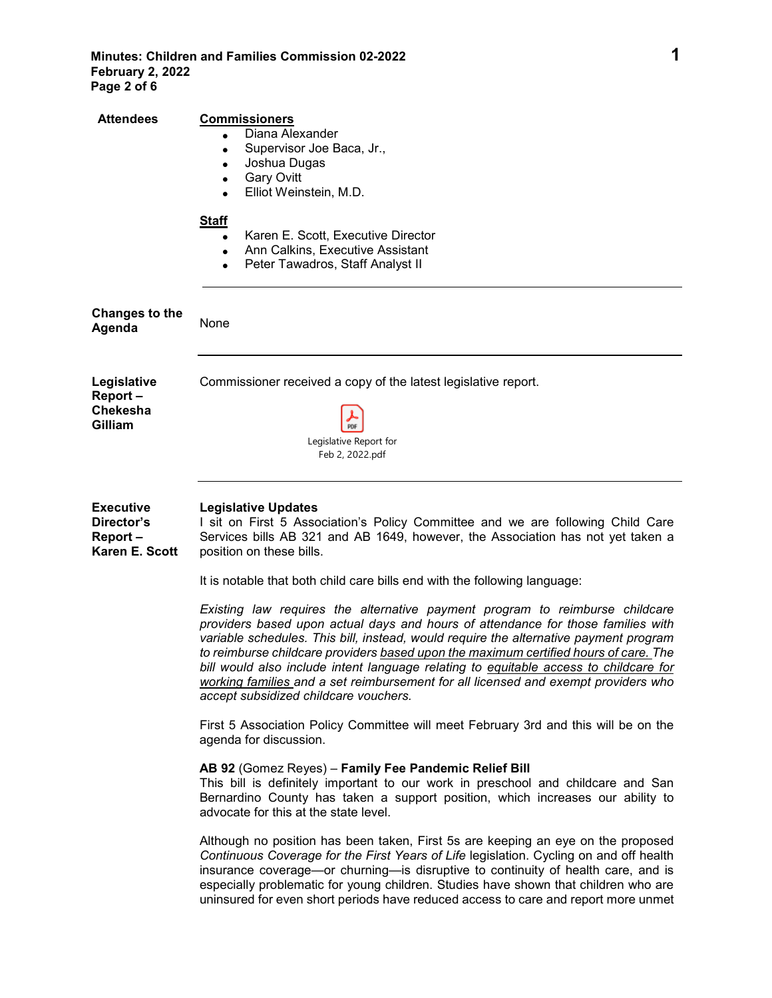| <b>Attendees</b>                                            | <b>Commissioners</b><br>Diana Alexander<br>Supervisor Joe Baca, Jr.,<br>$\bullet$<br>Joshua Dugas<br>$\bullet$<br><b>Gary Ovitt</b><br>$\bullet$<br>Elliot Weinstein, M.D.<br>$\bullet$<br><b>Staff</b><br>Karen E. Scott, Executive Director<br>$\bullet$<br>Ann Calkins, Executive Assistant<br>$\bullet$<br>Peter Tawadros, Staff Analyst II<br>$\bullet$                                                                                                                                                                                                                                                                                           |
|-------------------------------------------------------------|--------------------------------------------------------------------------------------------------------------------------------------------------------------------------------------------------------------------------------------------------------------------------------------------------------------------------------------------------------------------------------------------------------------------------------------------------------------------------------------------------------------------------------------------------------------------------------------------------------------------------------------------------------|
| <b>Changes to the</b><br>Agenda                             | None                                                                                                                                                                                                                                                                                                                                                                                                                                                                                                                                                                                                                                                   |
| Legislative<br>Report-<br><b>Chekesha</b><br>Gilliam        | Commissioner received a copy of the latest legislative report.<br>PDF<br>Legislative Report for<br>Feb 2, 2022.pdf                                                                                                                                                                                                                                                                                                                                                                                                                                                                                                                                     |
| <b>Executive</b><br>Director's<br>Report-<br>Karen E. Scott | <b>Legislative Updates</b><br>I sit on First 5 Association's Policy Committee and we are following Child Care<br>Services bills AB 321 and AB 1649, however, the Association has not yet taken a<br>position on these bills.                                                                                                                                                                                                                                                                                                                                                                                                                           |
|                                                             | It is notable that both child care bills end with the following language:<br>Existing law requires the alternative payment program to reimburse childcare<br>providers based upon actual days and hours of attendance for those families with<br>variable schedules. This bill, instead, would require the alternative payment program<br>to reimburse childcare providers based upon the maximum certified hours of care. The<br>bill would also include intent language relating to equitable access to childcare for<br>working families and a set reimbursement for all licensed and exempt providers who<br>accept subsidized childcare vouchers. |
|                                                             | First 5 Association Policy Committee will meet February 3rd and this will be on the<br>agenda for discussion.                                                                                                                                                                                                                                                                                                                                                                                                                                                                                                                                          |
|                                                             | AB 92 (Gomez Reyes) - Family Fee Pandemic Relief Bill<br>This bill is definitely important to our work in preschool and childcare and San<br>Bernardino County has taken a support position, which increases our ability to<br>advocate for this at the state level.                                                                                                                                                                                                                                                                                                                                                                                   |
|                                                             | Although no position has been taken, First 5s are keeping an eye on the proposed<br>Continuous Coverage for the First Years of Life legislation. Cycling on and off health<br>insurance coverage—or churning—is disruptive to continuity of health care, and is<br>especially problematic for young children. Studies have shown that children who are<br>uninsured for even short periods have reduced access to care and report more unmet                                                                                                                                                                                                           |
|                                                             |                                                                                                                                                                                                                                                                                                                                                                                                                                                                                                                                                                                                                                                        |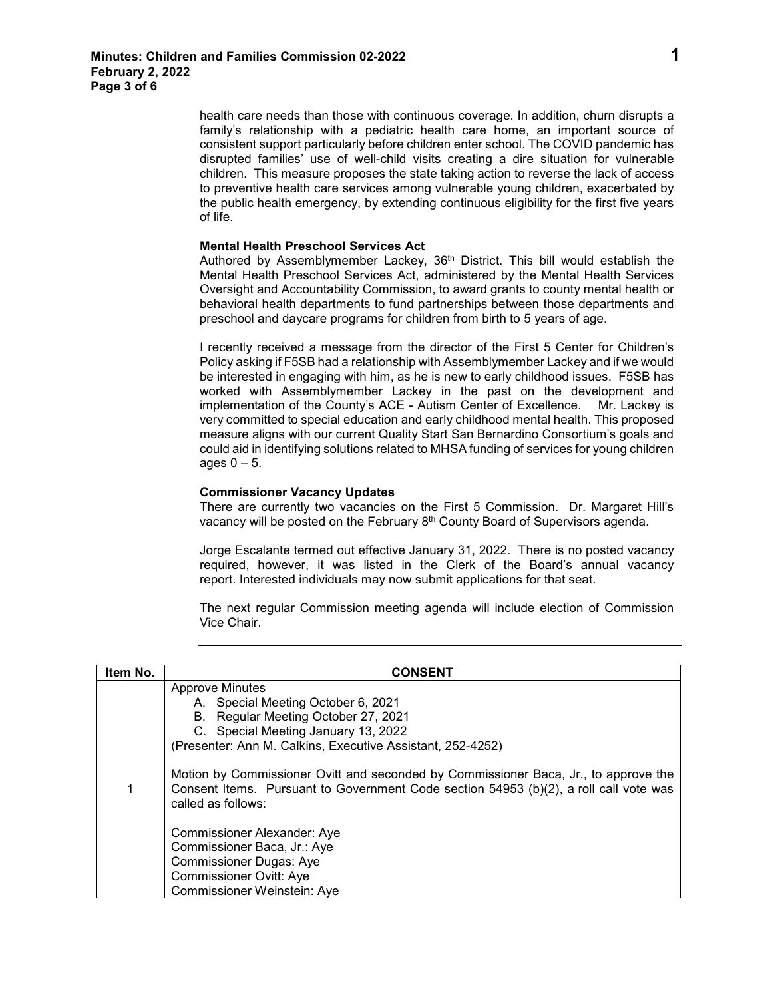health care needs than those with continuous coverage. In addition, churn disrupts a family's relationship with a pediatric health care home, an important source of consistent support particularly before children enter school. The COVID pandemic has disrupted families' use of well-child visits creating a dire situation for vulnerable children. This measure proposes the state taking action to reverse the lack of access to preventive health care services among vulnerable young children, exacerbated by the public health emergency, by extending continuous eligibility for the first five years of life.

## **Mental Health Preschool Services Act**

Authored by Assemblymember Lackey, 36th District. [This bill would establish the](https://app.box.com/s/e9emrl9iq5zxt1bcyanfypa60cv0mp02)  Mental Health Preschool Services Act, [administered by the Mental Health Services](https://app.box.com/s/e9emrl9iq5zxt1bcyanfypa60cv0mp02)  [Oversight and Accountability Commission, to award grants to county mental health or](https://app.box.com/s/e9emrl9iq5zxt1bcyanfypa60cv0mp02)  [behavioral health departments to fund partnerships between th](https://app.box.com/s/e9emrl9iq5zxt1bcyanfypa60cv0mp02)ose departments and preschool and daycare programs for children from birth to 5 years of age.

I recently received a message from the director of the First 5 Center for Children's Policy asking if F5SB had a relationship with Assemblymember Lackey and if we would be interested in engaging with him, as he is new to early childhood issues. F5SB has worked with Assemblymember Lackey in the past on the development and implementation of the County's ACE - Autism Center of Excellence. Mr. Lackey is very committed to special education and early childhood mental health. This proposed measure aligns with our current Quality Start San Bernardino Consortium's goals and could aid in identifying solutions related to MHSA funding of services for young children ages  $0 - 5$ .

## **Commissioner Vacancy Updates**

There are currently two vacancies on the First 5 Commission. Dr. Margaret Hill's vacancy will be posted on the February 8th County Board of Supervisors agenda.

Jorge Escalante termed out effective January 31, 2022. There is no posted vacancy required, however, it was listed in the Clerk of the Board's annual vacancy report. Interested individuals may now submit applications for that seat.

The next regular Commission meeting agenda will include election of Commission Vice Chair.

| Item No. | <b>CONSENT</b>                                                                                                                                                                                     |
|----------|----------------------------------------------------------------------------------------------------------------------------------------------------------------------------------------------------|
|          | <b>Approve Minutes</b>                                                                                                                                                                             |
|          | A. Special Meeting October 6, 2021                                                                                                                                                                 |
|          | B. Regular Meeting October 27, 2021                                                                                                                                                                |
|          | C. Special Meeting January 13, 2022                                                                                                                                                                |
|          | (Presenter: Ann M. Calkins, Executive Assistant, 252-4252)                                                                                                                                         |
|          | Motion by Commissioner Ovitt and seconded by Commissioner Baca, Jr., to approve the<br>Consent Items. Pursuant to Government Code section 54953 (b)(2), a roll call vote was<br>called as follows: |
|          | <b>Commissioner Alexander: Aye</b>                                                                                                                                                                 |
|          | Commissioner Baca, Jr.: Aye                                                                                                                                                                        |
|          | <b>Commissioner Dugas: Aye</b>                                                                                                                                                                     |
|          | <b>Commissioner Ovitt: Aye</b>                                                                                                                                                                     |
|          | Commissioner Weinstein: Aye                                                                                                                                                                        |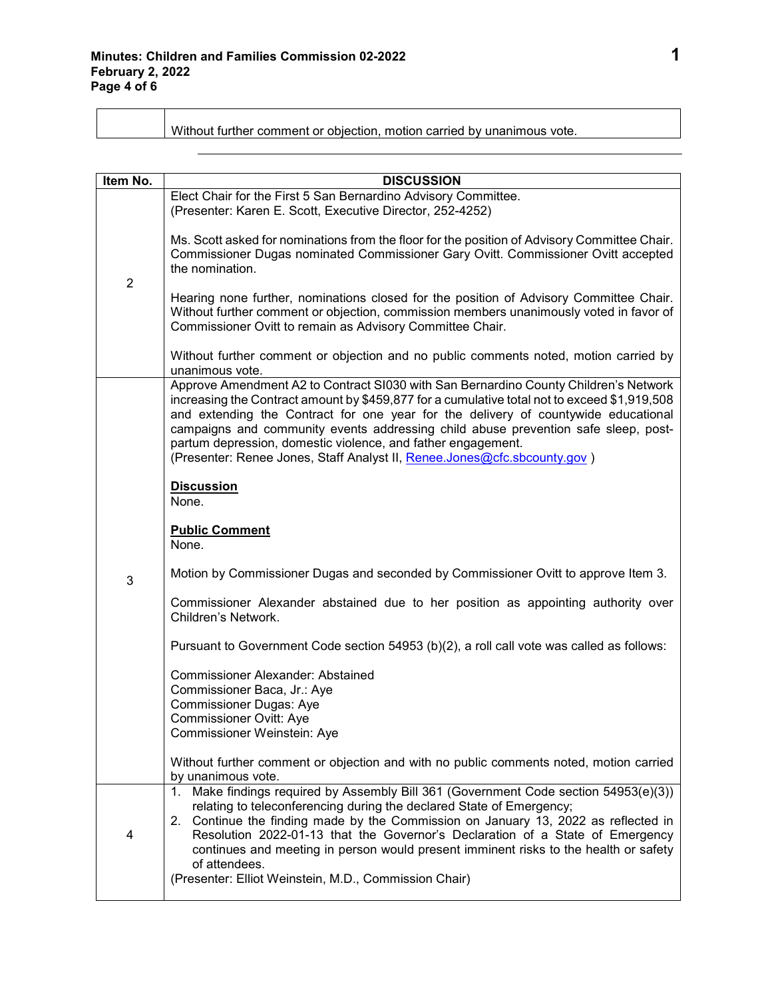| Without further comment or objection, motion carried by unanimous vote. |
|-------------------------------------------------------------------------|
|-------------------------------------------------------------------------|

| Item No.       | <b>DISCUSSION</b>                                                                                                                                                                                                                                                                                                                                                                                                                                                                                                                                                |
|----------------|------------------------------------------------------------------------------------------------------------------------------------------------------------------------------------------------------------------------------------------------------------------------------------------------------------------------------------------------------------------------------------------------------------------------------------------------------------------------------------------------------------------------------------------------------------------|
|                | Elect Chair for the First 5 San Bernardino Advisory Committee.<br>(Presenter: Karen E. Scott, Executive Director, 252-4252)                                                                                                                                                                                                                                                                                                                                                                                                                                      |
| $\overline{2}$ | Ms. Scott asked for nominations from the floor for the position of Advisory Committee Chair.<br>Commissioner Dugas nominated Commissioner Gary Ovitt. Commissioner Ovitt accepted<br>the nomination.<br>Hearing none further, nominations closed for the position of Advisory Committee Chair.<br>Without further comment or objection, commission members unanimously voted in favor of<br>Commissioner Ovitt to remain as Advisory Committee Chair.<br>Without further comment or objection and no public comments noted, motion carried by<br>unanimous vote. |
|                | Approve Amendment A2 to Contract SI030 with San Bernardino County Children's Network<br>increasing the Contract amount by \$459,877 for a cumulative total not to exceed \$1,919,508<br>and extending the Contract for one year for the delivery of countywide educational<br>campaigns and community events addressing child abuse prevention safe sleep, post-<br>partum depression, domestic violence, and father engagement.<br>(Presenter: Renee Jones, Staff Analyst II, Renee.Jones@cfc.sbcounty.gov)<br><b>Discussion</b><br>None.                       |
|                | <b>Public Comment</b><br>None.                                                                                                                                                                                                                                                                                                                                                                                                                                                                                                                                   |
| 3              | Motion by Commissioner Dugas and seconded by Commissioner Ovitt to approve Item 3.                                                                                                                                                                                                                                                                                                                                                                                                                                                                               |
|                | Commissioner Alexander abstained due to her position as appointing authority over<br>Children's Network.                                                                                                                                                                                                                                                                                                                                                                                                                                                         |
|                | Pursuant to Government Code section 54953 (b)(2), a roll call vote was called as follows:                                                                                                                                                                                                                                                                                                                                                                                                                                                                        |
|                | <b>Commissioner Alexander: Abstained</b><br>Commissioner Baca, Jr.: Aye<br><b>Commissioner Dugas: Aye</b><br><b>Commissioner Ovitt: Aye</b><br>Commissioner Weinstein: Aye                                                                                                                                                                                                                                                                                                                                                                                       |
|                | Without further comment or objection and with no public comments noted, motion carried<br>by unanimous vote.                                                                                                                                                                                                                                                                                                                                                                                                                                                     |
| 4              | Make findings required by Assembly Bill 361 (Government Code section 54953(e)(3))<br>1.<br>relating to teleconferencing during the declared State of Emergency;<br>Continue the finding made by the Commission on January 13, 2022 as reflected in<br>2.<br>Resolution 2022-01-13 that the Governor's Declaration of a State of Emergency<br>continues and meeting in person would present imminent risks to the health or safety<br>of attendees.<br>(Presenter: Elliot Weinstein, M.D., Commission Chair)                                                      |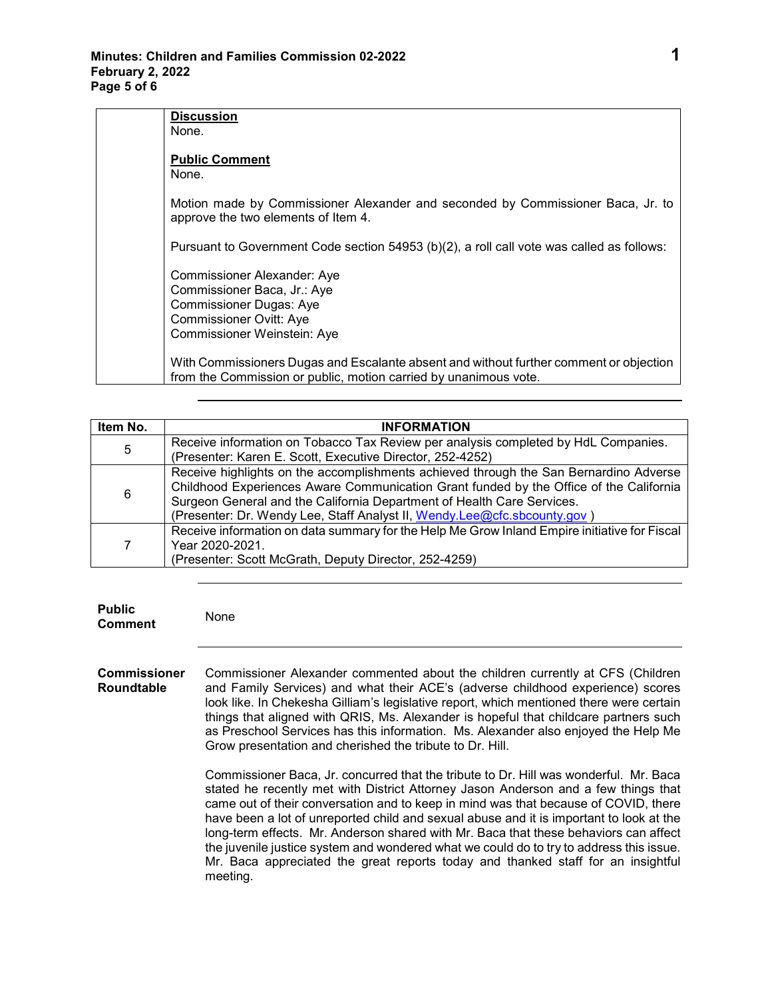| <b>Discussion</b>                                                                                                                                          |
|------------------------------------------------------------------------------------------------------------------------------------------------------------|
| None.                                                                                                                                                      |
| <b>Public Comment</b><br>None.                                                                                                                             |
| Motion made by Commissioner Alexander and seconded by Commissioner Baca, Jr. to<br>approve the two elements of Item 4.                                     |
| Pursuant to Government Code section 54953 (b)(2), a roll call vote was called as follows:                                                                  |
| <b>Commissioner Alexander: Aye</b>                                                                                                                         |
| Commissioner Baca, Jr.: Aye                                                                                                                                |
| <b>Commissioner Dugas: Aye</b>                                                                                                                             |
| <b>Commissioner Ovitt: Aye</b>                                                                                                                             |
| Commissioner Weinstein: Aye                                                                                                                                |
| With Commissioners Dugas and Escalante absent and without further comment or objection<br>from the Commission or public, motion carried by unanimous vote. |

| Item No. | <b>INFORMATION</b>                                                                                                                                                              |
|----------|---------------------------------------------------------------------------------------------------------------------------------------------------------------------------------|
| 5        | Receive information on Tobacco Tax Review per analysis completed by HdL Companies.                                                                                              |
|          | (Presenter: Karen E. Scott, Executive Director, 252-4252)                                                                                                                       |
| 6        | Receive highlights on the accomplishments achieved through the San Bernardino Adverse<br>Childhood Experiences Aware Communication Grant funded by the Office of the California |
|          | Surgeon General and the California Department of Health Care Services.<br>(Presenter: Dr. Wendy Lee, Staff Analyst II, Wendy.Lee@cfc.sbcounty.gov)                              |
|          | Receive information on data summary for the Help Me Grow Inland Empire initiative for Fiscal<br>Year 2020-2021.<br>(Presenter: Scott McGrath, Deputy Director, 252-4259)        |

**Public Comment** None

**Commissioner Roundtable** Commissioner Alexander commented about the children currently at CFS (Children and Family Services) and what their ACE's (adverse childhood experience) scores look like. In Chekesha Gilliam's legislative report, which mentioned there were certain things that aligned with QRIS, Ms. Alexander is hopeful that childcare partners such as Preschool Services has this information. Ms. Alexander also enjoyed the Help Me Grow presentation and cherished the tribute to Dr. Hill.

> Commissioner Baca, Jr. concurred that the tribute to Dr. Hill was wonderful. Mr. Baca stated he recently met with District Attorney Jason Anderson and a few things that came out of their conversation and to keep in mind was that because of COVID, there have been a lot of unreported child and sexual abuse and it is important to look at the long-term effects. Mr. Anderson shared with Mr. Baca that these behaviors can affect the juvenile justice system and wondered what we could do to try to address this issue. Mr. Baca appreciated the great reports today and thanked staff for an insightful meeting.